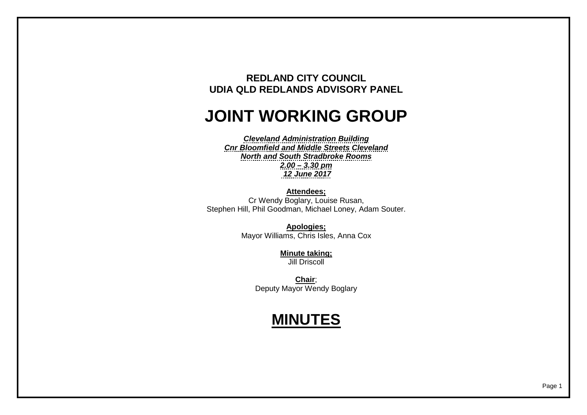## **REDLAND CITY COUNCIL UDIA QLD REDLANDS ADVISORY PANEL**

## **JOINT WORKING GROUP**

*Cleveland Administration Building Cnr Bloomfield and Middle Streets Cleveland North and South Stradbroke Rooms 2.00 – 3.30 pm 12 June 2017*

**Attendees;**

Cr Wendy Boglary, Louise Rusan, Stephen Hill, Phil Goodman, Michael Loney, Adam Souter.

> **Apologies;** Mayor Williams, Chris Isles, Anna Cox

> > **Minute taking;** Jill Driscoll

**Chair**; Deputy Mayor Wendy Boglary

## **MINUTES**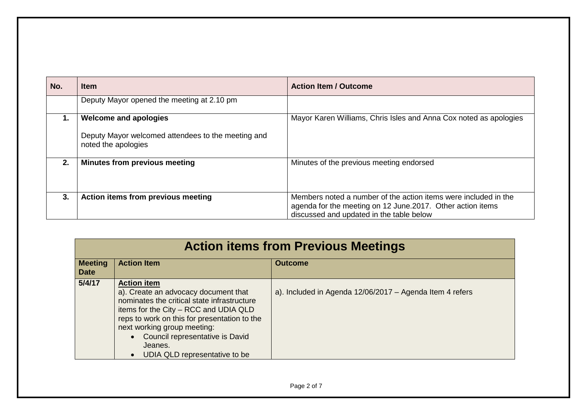| No. | <b>Item</b>                                                               | <b>Action Item / Outcome</b>                                                                                                                                               |
|-----|---------------------------------------------------------------------------|----------------------------------------------------------------------------------------------------------------------------------------------------------------------------|
|     | Deputy Mayor opened the meeting at 2.10 pm                                |                                                                                                                                                                            |
|     | <b>Welcome and apologies</b>                                              | Mayor Karen Williams, Chris Isles and Anna Cox noted as apologies                                                                                                          |
|     | Deputy Mayor welcomed attendees to the meeting and<br>noted the apologies |                                                                                                                                                                            |
| 2.  | Minutes from previous meeting                                             | Minutes of the previous meeting endorsed                                                                                                                                   |
| 3.  | Action items from previous meeting                                        | Members noted a number of the action items were included in the<br>agenda for the meeting on 12 June. 2017. Other action items<br>discussed and updated in the table below |

| <b>Action items from Previous Meetings</b> |                                                                                                                                                                                                                                                                                                                  |                                                          |
|--------------------------------------------|------------------------------------------------------------------------------------------------------------------------------------------------------------------------------------------------------------------------------------------------------------------------------------------------------------------|----------------------------------------------------------|
| <b>Meeting</b><br><b>Date</b>              | <b>Action Item</b>                                                                                                                                                                                                                                                                                               | <b>Outcome</b>                                           |
| 5/4/17                                     | <b>Action item</b><br>a). Create an advocacy document that<br>nominates the critical state infrastructure<br>items for the City - RCC and UDIA QLD<br>reps to work on this for presentation to the<br>next working group meeting:<br>Council representative is David<br>Jeanes.<br>UDIA QLD representative to be | a). Included in Agenda 12/06/2017 - Agenda Item 4 refers |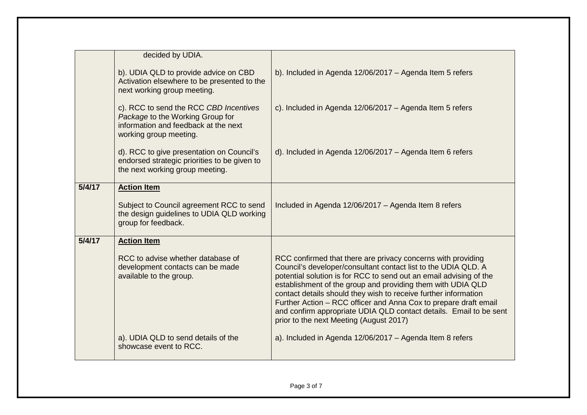|        | decided by UDIA.                                                                                                                             |                                                                                                                                                                                                                                                                                                                                                                                                                                                                                                                             |
|--------|----------------------------------------------------------------------------------------------------------------------------------------------|-----------------------------------------------------------------------------------------------------------------------------------------------------------------------------------------------------------------------------------------------------------------------------------------------------------------------------------------------------------------------------------------------------------------------------------------------------------------------------------------------------------------------------|
|        | b). UDIA QLD to provide advice on CBD<br>Activation elsewhere to be presented to the<br>next working group meeting.                          | b). Included in Agenda 12/06/2017 - Agenda Item 5 refers                                                                                                                                                                                                                                                                                                                                                                                                                                                                    |
|        | c). RCC to send the RCC CBD Incentives<br>Package to the Working Group for<br>information and feedback at the next<br>working group meeting. | c). Included in Agenda 12/06/2017 - Agenda Item 5 refers                                                                                                                                                                                                                                                                                                                                                                                                                                                                    |
|        | d). RCC to give presentation on Council's<br>endorsed strategic priorities to be given to<br>the next working group meeting.                 | d). Included in Agenda 12/06/2017 - Agenda Item 6 refers                                                                                                                                                                                                                                                                                                                                                                                                                                                                    |
| 5/4/17 | <b>Action Item</b>                                                                                                                           |                                                                                                                                                                                                                                                                                                                                                                                                                                                                                                                             |
|        | Subject to Council agreement RCC to send<br>the design guidelines to UDIA QLD working<br>group for feedback.                                 | Included in Agenda 12/06/2017 - Agenda Item 8 refers                                                                                                                                                                                                                                                                                                                                                                                                                                                                        |
| 5/4/17 | <b>Action Item</b>                                                                                                                           |                                                                                                                                                                                                                                                                                                                                                                                                                                                                                                                             |
|        | RCC to advise whether database of<br>development contacts can be made<br>available to the group.                                             | RCC confirmed that there are privacy concerns with providing<br>Council's developer/consultant contact list to the UDIA QLD. A<br>potential solution is for RCC to send out an email advising of the<br>establishment of the group and providing them with UDIA QLD<br>contact details should they wish to receive further information<br>Further Action - RCC officer and Anna Cox to prepare draft email<br>and confirm appropriate UDIA QLD contact details. Email to be sent<br>prior to the next Meeting (August 2017) |
|        | a). UDIA QLD to send details of the<br>showcase event to RCC.                                                                                | a). Included in Agenda 12/06/2017 - Agenda Item 8 refers                                                                                                                                                                                                                                                                                                                                                                                                                                                                    |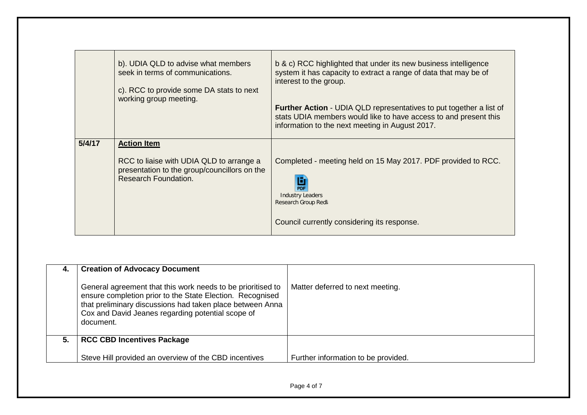|        | b). UDIA QLD to advise what members<br>seek in terms of communications.<br>c). RCC to provide some DA stats to next<br>working group meeting. | b & c) RCC highlighted that under its new business intelligence<br>system it has capacity to extract a range of data that may be of<br>interest to the group.<br><b>Further Action - UDIA QLD representatives to put together a list of</b><br>stats UDIA members would like to have access to and present this<br>information to the next meeting in August 2017. |
|--------|-----------------------------------------------------------------------------------------------------------------------------------------------|--------------------------------------------------------------------------------------------------------------------------------------------------------------------------------------------------------------------------------------------------------------------------------------------------------------------------------------------------------------------|
| 5/4/17 | <b>Action Item</b><br>RCC to liaise with UDIA QLD to arrange a<br>presentation to the group/councillors on the<br>Research Foundation.        | Completed - meeting held on 15 May 2017. PDF provided to RCC.<br><b>Industry Leaders</b><br>Research Group Redla<br>Council currently considering its response.                                                                                                                                                                                                    |

| 4. | <b>Creation of Advocacy Document</b><br>General agreement that this work needs to be prioritised to<br>ensure completion prior to the State Election. Recognised<br>that preliminary discussions had taken place between Anna<br>Cox and David Jeanes regarding potential scope of<br>document. | Matter deferred to next meeting.    |
|----|-------------------------------------------------------------------------------------------------------------------------------------------------------------------------------------------------------------------------------------------------------------------------------------------------|-------------------------------------|
| 5. | <b>RCC CBD Incentives Package</b>                                                                                                                                                                                                                                                               |                                     |
|    | Steve Hill provided an overview of the CBD incentives                                                                                                                                                                                                                                           | Further information to be provided. |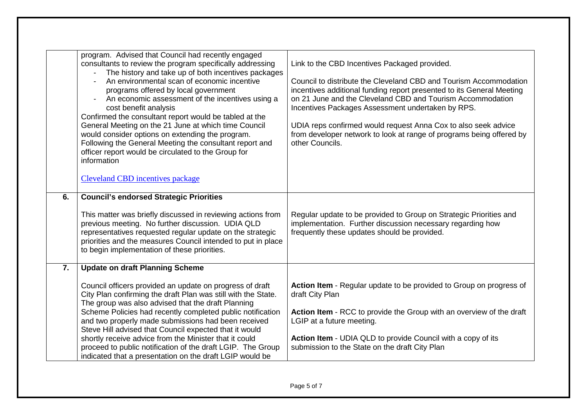|                  | program. Advised that Council had recently engaged<br>consultants to review the program specifically addressing<br>The history and take up of both incentives packages<br>An environmental scan of economic incentive<br>programs offered by local government<br>An economic assessment of the incentives using a<br>cost benefit analysis<br>Confirmed the consultant report would be tabled at the<br>General Meeting on the 21 June at which time Council<br>would consider options on extending the program.<br>Following the General Meeting the consultant report and<br>officer report would be circulated to the Group for<br>information<br><b>Cleveland CBD incentives package</b> | Link to the CBD Incentives Packaged provided.<br>Council to distribute the Cleveland CBD and Tourism Accommodation<br>incentives additional funding report presented to its General Meeting<br>on 21 June and the Cleveland CBD and Tourism Accommodation<br>Incentives Packages Assessment undertaken by RPS.<br>UDIA reps confirmed would request Anna Cox to also seek advice<br>from developer network to look at range of programs being offered by<br>other Councils. |
|------------------|----------------------------------------------------------------------------------------------------------------------------------------------------------------------------------------------------------------------------------------------------------------------------------------------------------------------------------------------------------------------------------------------------------------------------------------------------------------------------------------------------------------------------------------------------------------------------------------------------------------------------------------------------------------------------------------------|-----------------------------------------------------------------------------------------------------------------------------------------------------------------------------------------------------------------------------------------------------------------------------------------------------------------------------------------------------------------------------------------------------------------------------------------------------------------------------|
| 6.               | <b>Council's endorsed Strategic Priorities</b><br>This matter was briefly discussed in reviewing actions from<br>previous meeting. No further discussion. UDIA QLD<br>representatives requested regular update on the strategic<br>priorities and the measures Council intended to put in place<br>to begin implementation of these priorities.                                                                                                                                                                                                                                                                                                                                              | Regular update to be provided to Group on Strategic Priorities and<br>implementation. Further discussion necessary regarding how<br>frequently these updates should be provided.                                                                                                                                                                                                                                                                                            |
| $\overline{7}$ . | <b>Update on draft Planning Scheme</b><br>Council officers provided an update on progress of draft<br>City Plan confirming the draft Plan was still with the State.<br>The group was also advised that the draft Planning<br>Scheme Policies had recently completed public notification<br>and two properly made submissions had been received<br>Steve Hill advised that Council expected that it would<br>shortly receive advice from the Minister that it could<br>proceed to public notification of the draft LGIP. The Group<br>indicated that a presentation on the draft LGIP would be                                                                                                | Action Item - Regular update to be provided to Group on progress of<br>draft City Plan<br>Action Item - RCC to provide the Group with an overview of the draft<br>LGIP at a future meeting.<br>Action Item - UDIA QLD to provide Council with a copy of its<br>submission to the State on the draft City Plan                                                                                                                                                               |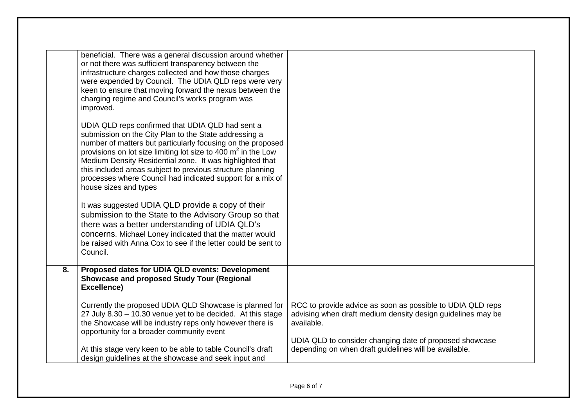|    | beneficial. There was a general discussion around whether<br>or not there was sufficient transparency between the<br>infrastructure charges collected and how those charges<br>were expended by Council. The UDIA QLD reps were very<br>keen to ensure that moving forward the nexus between the<br>charging regime and Council's works program was<br>improved.<br>UDIA QLD reps confirmed that UDIA QLD had sent a<br>submission on the City Plan to the State addressing a<br>number of matters but particularly focusing on the proposed<br>provisions on lot size limiting lot size to 400 $m2$ in the Low<br>Medium Density Residential zone. It was highlighted that<br>this included areas subject to previous structure planning<br>processes where Council had indicated support for a mix of<br>house sizes and types<br>It was suggested UDIA QLD provide a copy of their<br>submission to the State to the Advisory Group so that<br>there was a better understanding of UDIA QLD's<br>concerns. Michael Loney indicated that the matter would<br>be raised with Anna Cox to see if the letter could be sent to<br>Council. |                                                                                                                                         |
|----|------------------------------------------------------------------------------------------------------------------------------------------------------------------------------------------------------------------------------------------------------------------------------------------------------------------------------------------------------------------------------------------------------------------------------------------------------------------------------------------------------------------------------------------------------------------------------------------------------------------------------------------------------------------------------------------------------------------------------------------------------------------------------------------------------------------------------------------------------------------------------------------------------------------------------------------------------------------------------------------------------------------------------------------------------------------------------------------------------------------------------------------|-----------------------------------------------------------------------------------------------------------------------------------------|
| 8. | Proposed dates for UDIA QLD events: Development<br>Showcase and proposed Study Tour (Regional<br>Excellence)                                                                                                                                                                                                                                                                                                                                                                                                                                                                                                                                                                                                                                                                                                                                                                                                                                                                                                                                                                                                                             |                                                                                                                                         |
|    | Currently the proposed UDIA QLD Showcase is planned for<br>27 July 8.30 - 10.30 venue yet to be decided. At this stage<br>the Showcase will be industry reps only however there is<br>opportunity for a broader community event                                                                                                                                                                                                                                                                                                                                                                                                                                                                                                                                                                                                                                                                                                                                                                                                                                                                                                          | RCC to provide advice as soon as possible to UDIA QLD reps<br>advising when draft medium density design guidelines may be<br>available. |
|    | At this stage very keen to be able to table Council's draft<br>design guidelines at the showcase and seek input and                                                                                                                                                                                                                                                                                                                                                                                                                                                                                                                                                                                                                                                                                                                                                                                                                                                                                                                                                                                                                      | UDIA QLD to consider changing date of proposed showcase<br>depending on when draft guidelines will be available.                        |